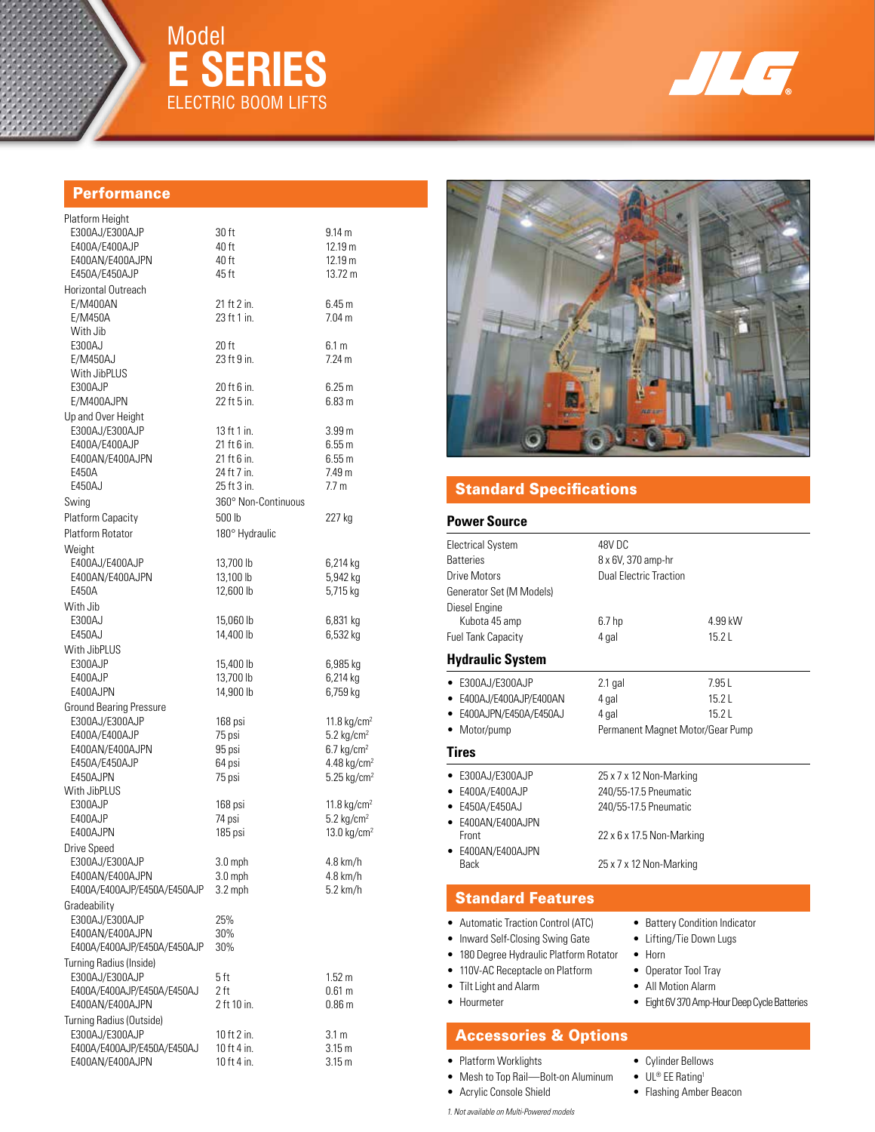

Model

**E Series**

ELECTRIC BOOM LIFTS



# **Performance**

| Platform Height                              |                            |                                                  |
|----------------------------------------------|----------------------------|--------------------------------------------------|
| E300AJ/E300AJP                               | 30 ft                      | 9.14 m                                           |
| E400A/E400AJP                                | 40 ft                      | 12.19 m                                          |
| E400AN/E400AJPN                              | 40 ft                      | 12.19 m                                          |
| E450A/E450AJP                                | 45 ft                      | 13.72 m                                          |
| Horizontal Outreach                          |                            |                                                  |
| E/M400AN                                     | 21 ft 2 in.                | 6.45 m                                           |
| E/M450A                                      | 23 ft 1 in.                | 7.04 m                                           |
| With Jib                                     |                            |                                                  |
| E300AJ                                       | 20 ft                      | 6.1 m                                            |
| E/M450AJ                                     | 23 ft 9 in.                | 7.24 m                                           |
| With JibPLUS<br>E300AJP                      |                            |                                                  |
| E/M400AJPN                                   | 20 ft 6 in.<br>22 ft 5 in. | 6.25m<br>6.83 m                                  |
| Up and Over Height                           |                            |                                                  |
| E300AJ/E300AJP                               | 13 ft 1 in.                | 3.99 <sub>m</sub>                                |
| E400A/E400AJP                                | 21 ft 6 in.                | 6.55 m                                           |
| E400AN/E400AJPN                              | 21 ft 6 in.                | 6.55m                                            |
| E450A                                        | 24 ft 7 in.                | 7.49 m                                           |
| E450AJ                                       | 25 ft 3 in.                | 7.7 <sub>m</sub>                                 |
| Swing                                        | 360° Non-Continuous        |                                                  |
| Platform Capacity                            | 500 lb                     | 227 kg                                           |
| <b>Platform Rotator</b>                      | 180° Hydraulic             |                                                  |
| Weight                                       |                            |                                                  |
| E400AJ/E400AJP                               | 13,700 lb                  | 6,214 kg                                         |
| E400AN/E400AJPN                              | 13,100 lb                  | 5,942 kg                                         |
| E450A                                        | 12,600 lb                  | 5,715 kg                                         |
| With Jib                                     |                            |                                                  |
| E300AJ                                       | 15,060 lb                  | 6,831 kg                                         |
| E450AJ                                       | 14,400 lb                  | 6,532 kg                                         |
| With JibPLUS                                 |                            |                                                  |
| E300AJP                                      | 15,400 lb                  | 6,985 kg                                         |
| E400AJP                                      | 13,700 lb                  | 6,214 kg                                         |
| E400AJPN                                     | 14,900 lb                  | 6,759 kg                                         |
| <b>Ground Bearing Pressure</b>               |                            |                                                  |
| E300AJ/E300AJP                               | 168 psi                    | 11.8 kg/cm <sup>2</sup>                          |
| E400A/E400AJP                                | 75 psi                     | $5.2 \text{ kg/cm}^2$                            |
| E400AN/E400AJPN<br>E450A/E450AJP             | 95 psi<br>64 psi           | $6.7 \text{ kg/cm}^2$<br>4.48 kg/cm <sup>2</sup> |
| E450AJPN                                     | 75 psi                     | $5.25$ kg/cm <sup>2</sup>                        |
| With JibPLUS                                 |                            |                                                  |
| E300AJP                                      | 168 psi                    | 11.8 kg/cm <sup>2</sup>                          |
| E400AJP                                      | 74 psi                     | $5.2 \text{ kg/cm}^2$                            |
| E400AJPN                                     | 185 psi                    | 13.0 kg/cm <sup>2</sup>                          |
| Drive Speed                                  |                            |                                                  |
| E300AJ/E300AJP                               | 3.0 mph                    | 4.8 km/h                                         |
| E400AN/E400AJPN                              | $3.0$ mph                  | 4.8 km/h                                         |
| E400A/E400AJP/E450A/E450AJP                  | 3.2 mph                    | 5.2 km/h                                         |
| Gradeability                                 |                            |                                                  |
| E300AJ/E300AJP                               | 25%                        |                                                  |
| E400AN/E400AJPN                              | 30%                        |                                                  |
| E400A/E400AJP/E450A/E450AJP                  | 30%                        |                                                  |
| Turning Radius (Inside)                      |                            |                                                  |
| E300AJ/E300AJP<br>E400A/E400AJP/E450A/E450AJ | 5 ft<br>2 ft               | 1.52 m<br>0.61 m                                 |
| E400AN/E400AJPN                              | 2 ft 10 in.                | 0.86 <sub>m</sub>                                |
| Turning Radius (Outside)                     |                            |                                                  |
| E300AJ/E300AJP                               | 10 ft 2 in.                | 3.1 <sub>m</sub>                                 |
| E400A/E400AJP/E450A/E450AJ                   | 10 ft 4 in.                | 3.15 <sub>m</sub>                                |
| E400AN/E400AJPN                              | 10 ft 4 in.                | 3.15 m                                           |



# Standard Specifications

### **Power Source**

| 48V DC                                                                                                        |                                                                                                                                                                                                                                                                              |
|---------------------------------------------------------------------------------------------------------------|------------------------------------------------------------------------------------------------------------------------------------------------------------------------------------------------------------------------------------------------------------------------------|
| 8 x 6V, 370 amp-hr                                                                                            |                                                                                                                                                                                                                                                                              |
|                                                                                                               |                                                                                                                                                                                                                                                                              |
|                                                                                                               | 4.99 kW                                                                                                                                                                                                                                                                      |
|                                                                                                               | 15.2L                                                                                                                                                                                                                                                                        |
|                                                                                                               |                                                                                                                                                                                                                                                                              |
| $2.1$ gal                                                                                                     | 7.95 L                                                                                                                                                                                                                                                                       |
| 4 gal                                                                                                         | 15.2L                                                                                                                                                                                                                                                                        |
| 4 gal                                                                                                         | 15.2L                                                                                                                                                                                                                                                                        |
| Permanent Magnet Motor/Gear Pump                                                                              |                                                                                                                                                                                                                                                                              |
|                                                                                                               |                                                                                                                                                                                                                                                                              |
| 25 x 7 x 12 Non-Marking                                                                                       |                                                                                                                                                                                                                                                                              |
| 240/55-17.5 Pneumatic                                                                                         |                                                                                                                                                                                                                                                                              |
| 240/55-17.5 Pneumatic                                                                                         |                                                                                                                                                                                                                                                                              |
|                                                                                                               |                                                                                                                                                                                                                                                                              |
|                                                                                                               |                                                                                                                                                                                                                                                                              |
| 25 x 7 x 12 Non-Marking                                                                                       |                                                                                                                                                                                                                                                                              |
|                                                                                                               |                                                                                                                                                                                                                                                                              |
| • Battery Condition Indicator<br>Lifting/Tie Down Lugs<br>٠<br>Horn<br>Operator Tool Tray<br>All Motion Alarm | Eight 6V 370 Amp-Hour Deep Cycle Batteries                                                                                                                                                                                                                                   |
|                                                                                                               | <b>Dual Electric Traction</b><br>6.7 <sub>hp</sub><br>4 gal<br>22 x 6 x 17.5 Non-Marking<br><b>Standard Features</b><br><b>Automatic Traction Control (ATC)</b><br>Inward Self-Closing Swing Gate<br>180 Degree Hydraulic Platform Rotator<br>110V-AC Receptacle on Platform |

# Accessories & Options

• Platform Worklights

- Mesh to Top Rail—Bolt-on Aluminum
- Acrylic Console Shield
- *1. Not available on Multi-Powered models*
- Cylinder Bellows
- UL® EE Rating1
- Flashing Amber Beacon